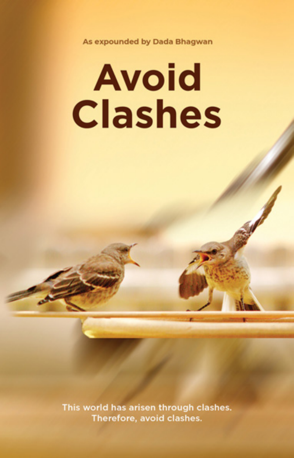As expounded by Dada Bhagwan

# **Avoid Clashes**

This world has arisen through clashes. Therefore, avoid clashes.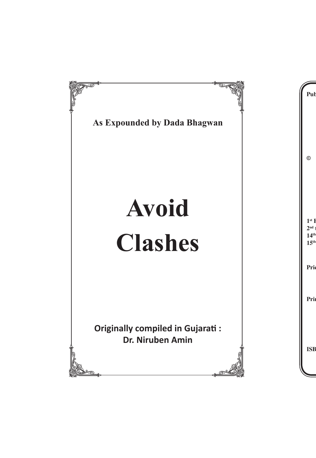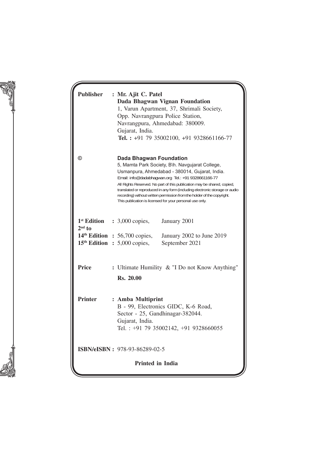| <b>Publisher</b>        | : Mr. Ajit C. Patel<br>Dada Bhagwan Vignan Foundation<br>1, Varun Apartment, 37, Shrimali Society,<br>Opp. Navrangpura Police Station,<br>Navrangpura, Ahmedabad: 380009.<br>Gujarat, India.<br>Tel.: +91 79 35002100, +91 9328661166-77                                                                                                                                                                                                                                             |  |  |
|-------------------------|--------------------------------------------------------------------------------------------------------------------------------------------------------------------------------------------------------------------------------------------------------------------------------------------------------------------------------------------------------------------------------------------------------------------------------------------------------------------------------------|--|--|
| $\circledcirc$          | Dada Bhagwan Foundation<br>5, Mamta Park Society, B\h. Navgujarat College,<br>Usmanpura, Ahmedabad - 380014, Gujarat, India.<br>Email: info@dadabhaqwan.org Tel.: +91 9328661166-77<br>All Rights Reserved. No part of this publication may be shared, copied,<br>translated or reproduced in any form (including electronic storage or audio<br>recording) without written permission from the holder of the copyright.<br>This publication is licensed for your personal use only. |  |  |
| $2nd$ to                | $1st$ <b>Edition</b> : 3,000 copies,<br>January 2001                                                                                                                                                                                                                                                                                                                                                                                                                                 |  |  |
|                         | $14th$ Edition : 56,700 copies,<br>January 2002 to June 2019<br>$15th$ Edition : 5,000 copies,<br>September 2021                                                                                                                                                                                                                                                                                                                                                                     |  |  |
| <b>Price</b>            | : Ultimate Humility & "I Do not Know Anything"<br>Rs. 20.00                                                                                                                                                                                                                                                                                                                                                                                                                          |  |  |
| <b>Printer</b>          | : Amba Multiprint<br>B - 99, Electronics GIDC, K-6 Road,<br>Sector - 25, Gandhinagar-382044.<br>Gujarat, India.<br>Tel.: +91 79 35002142, +91 9328660055                                                                                                                                                                                                                                                                                                                             |  |  |
|                         | <b>ISBN/eISBN</b> : 978-93-86289-02-5                                                                                                                                                                                                                                                                                                                                                                                                                                                |  |  |
| <b>Printed in India</b> |                                                                                                                                                                                                                                                                                                                                                                                                                                                                                      |  |  |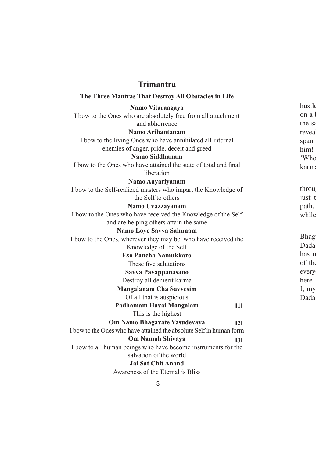#### **Trimantra**

#### **The Three Mantras That Destroy All Obstacles in Life**

#### **Namo Vitaraagaya**

I bow to the Ones who are absolutely free from all attachment and abhorrence

#### **Namo Ar ihantanam**

I bow to the living Ones who have annihilated all internal enemies of anger, pride, deceit and greed

#### **Namo Siddhanam**

I bow to the Ones who have attained the state of total and final liberation

#### **Namo Aayariyanam**

I bow to the Self-realized masters who impart the Knowledge of the Self to others

#### **Namo Uvazzayanam**

I bow to the Ones who have received the Knowledge of the Self and are helping others attain the same

#### **Namo Loye Savva Sahunam**

I bow to the Ones, wherever they may be, who have received the Knowledge of the Self

**Eso Pancha Namukkaro**

These five salutations

#### **Savva Pavappanasano**

Destroy all demerit karma

#### **Mangalanam Cha Savvesim**

Of all that is auspicious

#### **ǁ1ǁ Padhamam Havai Mangalam**

This is the highest

#### **ǁ2ǁ Om Namo Bhagavate Vasudevaya**

**ǁ3ǁ**

I bow to the Ones who have attained the absolute Self in human form

#### **Om Namah Shivaya**

I bow to all human beings who have become instruments for the salvation of the world

#### **Jai Sat Chit Anand**

Awareness of the Eternal is Bliss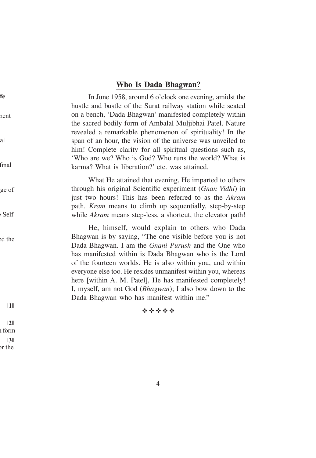#### **Who Is Dada Bhagwan?**

In June 1958, around 6 o'clock one evening, amidst the hustle and bustle of the Surat railway station while seated on a bench, 'Dada Bhagwan' manifested completely within the sacred bodily form of Ambalal Muljibhai Patel. Nature revealed a remarkable phenomenon of spirituality! In the span of an hour, the vision of the universe was unveiled to him! Complete clarity for all spiritual questions such as, 'Who are we? Who is God? Who runs the world? What is karma? What is liberation?' etc. was attained.

What He attained that evening, He imparted to others through his original Scientific experiment (*Gnan Vidhi*) in just two hours! This has been referred to as the *Akram* path. *Kram* means to climb up sequentially, step-by-step while *Akram* means step-less, a shortcut, the elevator path!

He, himself, would explain to others who Dada Bhagwan is by saying, "The one visible before you is not Dada Bhagwan. I am the *Gnani Purush* and the One who has manifested within is Dada Bhagwan who is the Lord of the fourteen worlds. He is also within you, and within everyone else too. He resides unmanifest within you, whereas here [within A. M. Patel], He has manifested completely! I, myself, am not God (*Bhagwan*); I also bow down to the Dada Bhagwan who has manifest within me."

#### 经合作合作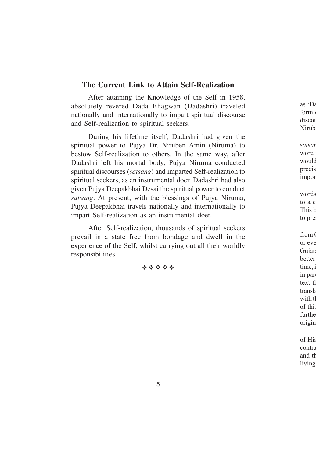#### **The Current Link to Attain Self-Realization**

After attaining the Knowledge of the Self in 1958, absolutely revered Dada Bhagwan (Dadashri) traveled nationally and internationally to impart spiritual discourse and Self-realization to spiritual seekers.

During his lifetime itself, Dadashri had given the spiritual power to Pujya Dr. Niruben Amin (Niruma) to bestow Self-realization to others. In the same way, after Dadashri left his mortal body, Pujya Niruma conducted spiritual discourses (*satsang*) and imparted Self-realization to spiritual seekers, as an instrumental doer. Dadashri had also given Pujya Deepakbhai Desai the spiritual power to conduct *satsang*. At present, with the blessings of Pujya Niruma, Pujya Deepakbhai travels nationally and internationally to impart Self-realization as an instrumental doer.

After Self-realization, thousands of spiritual seekers prevail in a state free from bondage and dwell in the experience of the Self, whilst carrying out all their worldly responsibilities.

\*\*\*\*\*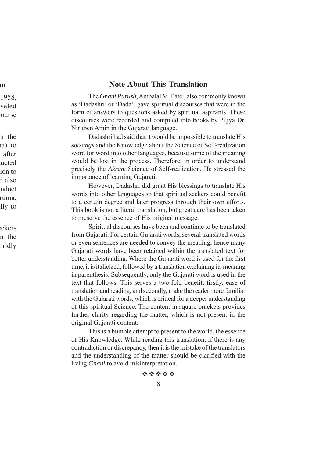#### **Note About This Translation**

The *Gnani Purush*, Ambalal M. Patel, also commonly known as 'Dadashri' or 'Dada', gave spiritual discourses that were in the form of answers to questions asked by spiritual aspirants. These discourses were recorded and compiled into books by Pujya Dr. Niruben Amin in the Gujarati language.

Dadashri had said that it would be impossible to translate His *satsangs* and the Knowledge about the Science of Self-realization word for word into other languages, because some of the meaning would be lost in the process. Therefore, in order to understand precisely the *Akram* Science of Self-realization, He stressed the importance of learning Gujarati.

However, Dadashri did grant His blessings to translate His words into other languages so that spiritual seekers could benefit to a certain degree and later progress through their own efforts. This book is not a literal translation, but great care has been taken to preserve the essence of His original message.

Spiritual discourses have been and continue to be translated from Gujarati. For certain Gujarati words, several translated words or even sentences are needed to convey the meaning, hence many Gujarati words have been retained within the translated text for better understanding. Where the Gujarati word is used for the first time, it is italicized, followed by a translation explaining its meaning in parenthesis. Subsequently, only the Gujarati word is used in the text that follows. This serves a two-fold benefit; firstly, ease of translation and reading, and secondly, make the reader more familiar with the Gujarati words, which is critical for a deeper understanding of this spiritual Science. The content in square brackets provides further clarity regarding the matter, which is not present in the original Gujarati content.

This is a humble attempt to present to the world, the essence of His Knowledge. While reading this translation, if there is any contradiction or discrepancy, then it is the mistake of the translators and the understanding of the matter should be clarified with the living *Gnani* to avoid misinterpretation.

经合金合金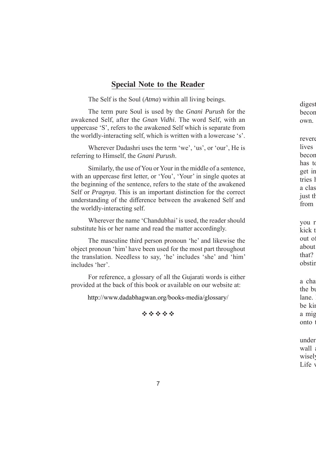#### **Special Note to the Reader**

The Self is the Soul (*Atma*) within all living beings.

The term pure Soul is used by the *Gnani Purush* for the awakened Self, after the *Gnan Vidhi*. The word Self, with an uppercase 'S', refers to the awakened Self which is separate from the worldly-interacting self, which is written with a lowercase 's'.

Wherever Dadashri uses the term 'we', 'us', or 'our', He is referring to Himself, the *Gnani Purush*.

Similarly, the use of You or Your in the middle of a sentence, with an uppercase first letter, or 'You', 'Your' in single quotes at the beginning of the sentence, refers to the state of the awakened Self or *Pragnya*. This is an important distinction for the correct understanding of the difference between the awakened Self and the worldly-interacting self.

Wherever the name 'Chandubhai' is used, the reader should substitute his or her name and read the matter accordingly.

The masculine third person pronoun 'he' and likewise the object pronoun 'him' have been used for the most part throughout the translation. Needless to say, 'he' includes 'she' and 'him' includes 'her'.

For reference, a glossary of all the Gujarati words is either provided at the back of this book or available on our website at:

http://www.dadabhagwan.org/books-media/glossary/

经合作经营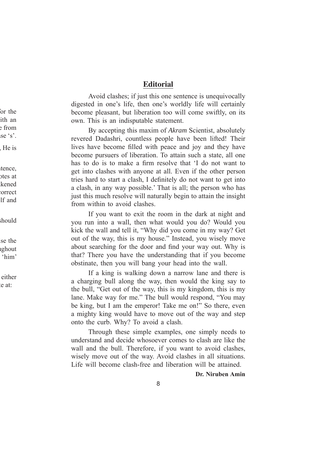#### **Editorial**

Avoid clashes; if just this one sentence is unequivocally digested in one's life, then one's worldly life will certainly become pleasant, but liberation too will come swiftly, on its own. This is an indisputable statement.

By accepting this maxim of *Akram* Scientist, absolutely revered Dadashri, countless people have been lifted! Their lives have become filled with peace and joy and they have become pursuers of liberation. To attain such a state, all one has to do is to make a firm resolve that 'I do not want to get into clashes with anyone at all. Even if the other person tries hard to start a clash, I definitely do not want to get into a clash, in any way possible.' That is all; the person who has just this much resolve will naturally begin to attain the insight from within to avoid clashes.

If you want to exit the room in the dark at night and you run into a wall, then what would you do? Would you kick the wall and tell it, "Why did you come in my way? Get out of the way, this is my house." Instead, you wisely move about searching for the door and find your way out. Why is that? There you have the understanding that if you become obstinate, then you will bang your head into the wall.

If a king is walking down a narrow lane and there is a charging bull along the way, then would the king say to the bull, "Get out of the way, this is my kingdom, this is my lane. Make way for me." The bull would respond, "You may be king, but I am the emperor! Take me on!" So there, even a mighty king would have to move out of the way and step onto the curb. Why? To avoid a clash.

Through these simple examples, one simply needs to understand and decide whosoever comes to clash are like the wall and the bull. Therefore, if you want to avoid clashes, wisely move out of the way. Avoid clashes in all situations. Life will become clash-free and liberation will be attained.

#### **Dr. Niruben Amin**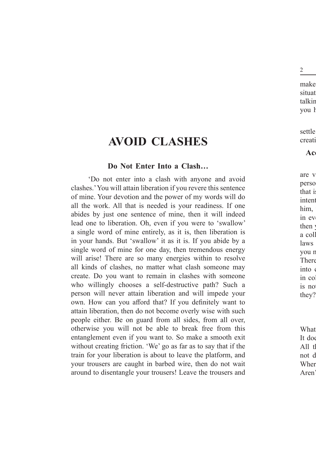# **AVOID CLASHES**

#### **Do Not Enter Into a Clash…**

'Do not enter into a clash with anyone and avoid clashes.' You will attain liberation if you revere this sentence of mine. Your devotion and the power of my words will do all the work. All that is needed is your readiness. If one abides by just one sentence of mine, then it will indeed lead one to liberation. Oh, even if you were to 'swallow' a single word of mine entirely, as it is, then liberation is in your hands. But 'swallow' it as it is. If you abide by a single word of mine for one day, then tremendous energy will arise! There are so many energies within to resolve all kinds of clashes, no matter what clash someone may create. Do you want to remain in clashes with someone who willingly chooses a self-destructive path? Such a person will never attain liberation and will impede your own. How can you afford that? If you definitely want to attain liberation, then do not become overly wise with such people either. Be on guard from all sides, from all over, otherwise you will not be able to break free from this entanglement even if you want to. So make a smooth exit without creating friction. 'We' go as far as to say that if the train for your liberation is about to leave the platform, and your trousers are caught in barbed wire, then do not wait around to disentangle your trousers! Leave the trousers and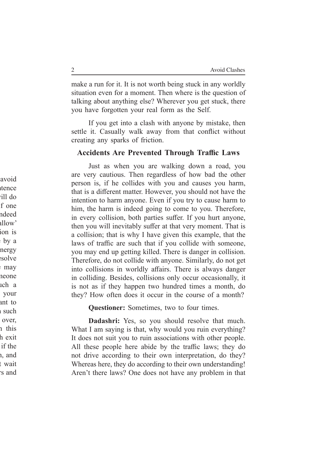make a run for it. It is not worth being stuck in any worldly situation even for a moment. Then where is the question of talking about anything else? Wherever you get stuck, there you have forgotten your real form as the Self.

If you get into a clash with anyone by mistake, then settle it. Casually walk away from that conflict without creating any sparks of friction.

#### **Accidents Are Prevented Through Traffic Laws**

Just as when you are walking down a road, you are very cautious. Then regardless of how bad the other person is, if he collides with you and causes you harm, that is a different matter. However, you should not have the intention to harm anyone. Even if you try to cause harm to him, the harm is indeed going to come to you. Therefore, in every collision, both parties suffer. If you hurt anyone, then you will inevitably suffer at that very moment. That is a collision; that is why I have given this example, that the laws of traffic are such that if you collide with someone, you may end up getting killed. There is danger in collision. Therefore, do not collide with anyone. Similarly, do not get into collisions in worldly affairs. There is always danger in colliding. Besides, collisions only occur occasionally, it is not as if they happen two hundred times a month, do they? How often does it occur in the course of a month?

**Questioner:** Sometimes, two to four times.

**Dadashri:** Yes, so you should resolve that much. What I am saying is that, why would you ruin everything? It does not suit you to ruin associations with other people. All these people here abide by the traffic laws; they do not drive according to their own interpretation, do they? Whereas here, they do according to their own understanding! Aren't there laws? One does not have any problem in that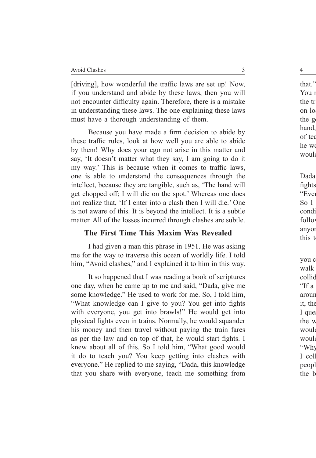[driving], how wonderful the traffic laws are set up! Now, if you understand and abide by these laws, then you will not encounter difficulty again. Therefore, there is a mistake in understanding these laws. The one explaining these laws must have a thorough understanding of them.

Because you have made a firm decision to abide by these traffic rules, look at how well you are able to abide by them! Why does your ego not arise in this matter and say, 'It doesn't matter what they say, I am going to do it my way.' This is because when it comes to traffic laws, one is able to understand the consequences through the intellect, because they are tangible, such as, 'The hand will get chopped off; I will die on the spot.' Whereas one does not realize that, 'If I enter into a clash then I will die.' One is not aware of this. It is beyond the intellect. It is a subtle matter. All of the losses incurred through clashes are subtle.

#### **The First Time This Maxim Was Revealed**

I had given a man this phrase in 1951. He was asking me for the way to traverse this ocean of worldly life. I told him, "Avoid clashes," and I explained it to him in this way.

It so happened that I was reading a book of scriptures one day, when he came up to me and said, "Dada, give me some knowledge." He used to work for me. So, I told him, "What knowledge can I give to you? You get into fights with everyone, you get into brawls!" He would get into physical fights even in trains. Normally, he would squander his money and then travel without paying the train fares as per the law and on top of that, he would start fights. I knew about all of this. So I told him, "What good would it do to teach you? You keep getting into clashes with everyone." He replied to me saying, "Dada, this knowledge that you share with everyone, teach me something from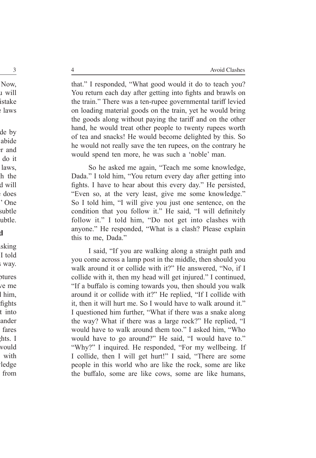that." I responded, "What good would it do to teach you? You return each day after getting into fights and brawls on the train." There was a ten-rupee governmental tariff levied on loading material goods on the train, yet he would bring the goods along without paying the tariff and on the other hand, he would treat other people to twenty rupees worth of tea and snacks! He would become delighted by this. So he would not really save the ten rupees, on the contrary he would spend ten more, he was such a 'noble' man.

So he asked me again, "Teach me some knowledge, Dada." I told him, "You return every day after getting into fights. I have to hear about this every day." He persisted, "Even so, at the very least, give me some knowledge." So I told him, "I will give you just one sentence, on the condition that you follow it." He said, "I will definitely follow it." I told him, "Do not get into clashes with anyone." He responded, "What is a clash? Please explain this to me, Dada."

I said, "If you are walking along a straight path and you come across a lamp post in the middle, then should you walk around it or collide with it?" He answered, "No, if I collide with it, then my head will get injured." I continued, "If a buffalo is coming towards you, then should you walk around it or collide with it?" He replied, "If I collide with it, then it will hurt me. So I would have to walk around it." I questioned him further, "What if there was a snake along the way? What if there was a large rock?" He replied, "I would have to walk around them too." I asked him, "Who would have to go around?" He said, "I would have to." "Why?" I inquired. He responded, "For my wellbeing. If I collide, then I will get hurt!" I said, "There are some people in this world who are like the rock, some are like the buffalo, some are like cows, some are like humans,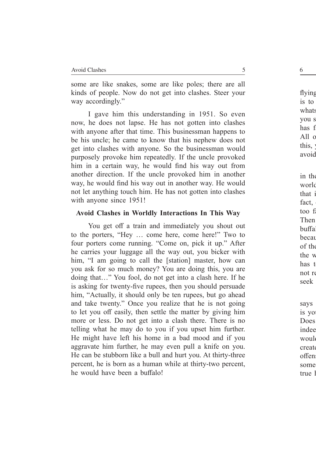some are like snakes, some are like poles; there are all kinds of people. Now do not get into clashes. Steer your way accordingly."

I gave him this understanding in 1951. So even now, he does not lapse. He has not gotten into clashes with anyone after that time. This businessman happens to be his uncle; he came to know that his nephew does not get into clashes with anyone. So the businessman would purposely provoke him repeatedly. If the uncle provoked him in a certain way, he would find his way out from another direction. If the uncle provoked him in another way, he would find his way out in another way. He would not let anything touch him. He has not gotten into clashes with anyone since 1951!

#### **Avoid Clashes in Worldly Interactions In This Way**

You get off a train and immediately you shout out to the porters, "Hey … come here, come here!" Two to four porters come running. "Come on, pick it up." After he carries your luggage all the way out, you bicker with him, "I am going to call the [station] master, how can you ask for so much money? You are doing this, you are doing that…" You fool, do not get into a clash here. If he is asking for twenty-five rupees, then you should persuade him, "Actually, it should only be ten rupees, but go ahead and take twenty." Once you realize that he is not going to let you off easily, then settle the matter by giving him more or less. Do not get into a clash there. There is no telling what he may do to you if you upset him further. He might have left his home in a bad mood and if you aggravate him further, he may even pull a knife on you. He can be stubborn like a bull and hurt you. At thirty-three percent, he is born as a human while at thirty-two percent, he would have been a buffalo!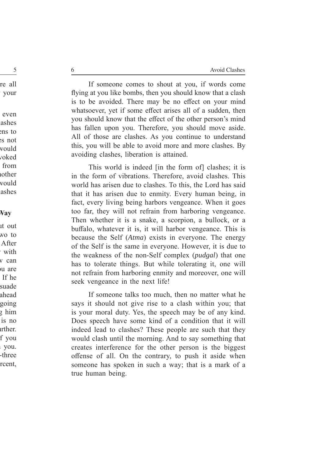If someone comes to shout at you, if words come flying at you like bombs, then you should know that a clash is to be avoided. There may be no effect on your mind whatsoever, yet if some effect arises all of a sudden, then you should know that the effect of the other person's mind has fallen upon you. Therefore, you should move aside. All of those are clashes. As you continue to understand this, you will be able to avoid more and more clashes. By avoiding clashes, liberation is attained.

This world is indeed [in the form of] clashes; it is in the form of vibrations. Therefore, avoid clashes. This world has arisen due to clashes. To this, the Lord has said that it has arisen due to enmity. Every human being, in fact, every living being harbors vengeance. When it goes too far, they will not refrain from harboring vengeance. Then whether it is a snake, a scorpion, a bullock, or a buffalo, whatever it is, it will harbor vengeance. This is because the Self (*Atma*) exists in everyone. The energy of the Self is the same in everyone. However, it is due to the weakness of the non-Self complex (*pudgal*) that one has to tolerate things. But while tolerating it, one will not refrain from harboring enmity and moreover, one will seek vengeance in the next life!

If someone talks too much, then no matter what he says it should not give rise to a clash within you; that is your moral duty. Yes, the speech may be of any kind. Does speech have some kind of a condition that it will indeed lead to clashes? These people are such that they would clash until the morning. And to say something that creates interference for the other person is the biggest offense of all. On the contrary, to push it aside when someone has spoken in such a way; that is a mark of a true human being.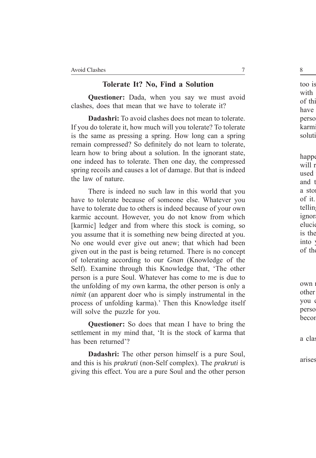#### **Tolerate It? No, Find a Solution**

**Questioner:** Dada, when you say we must avoid clashes, does that mean that we have to tolerate it?

**Dadashri:** To avoid clashes does not mean to tolerate. If you do tolerate it, how much will you tolerate? To tolerate is the same as pressing a spring. How long can a spring remain compressed? So definitely do not learn to tolerate, learn how to bring about a solution. In the ignorant state, one indeed has to tolerate. Then one day, the compressed spring recoils and causes a lot of damage. But that is indeed the law of nature.

There is indeed no such law in this world that you have to tolerate because of someone else. Whatever you have to tolerate due to others is indeed because of your own karmic account. However, you do not know from which [karmic] ledger and from where this stock is coming, so you assume that it is something new being directed at you. No one would ever give out anew; that which had been given out in the past is being returned. There is no concept of tolerating according to our *Gnan* (Knowledge of the Self). Examine through this Knowledge that, 'The other person is a pure Soul. Whatever has come to me is due to the unfolding of my own karma, the other person is only a *nimit* (an apparent doer who is simply instrumental in the process of unfolding karma).' Then this Knowledge itself will solve the puzzle for you.

**Questioner:** So does that mean I have to bring the settlement in my mind that, 'It is the stock of karma that has been returned'?

**Dadashri:** The other person himself is a pure Soul, and this is his *prakruti* (non-Self complex). The *prakruti* is giving this effect. You are a pure Soul and the other person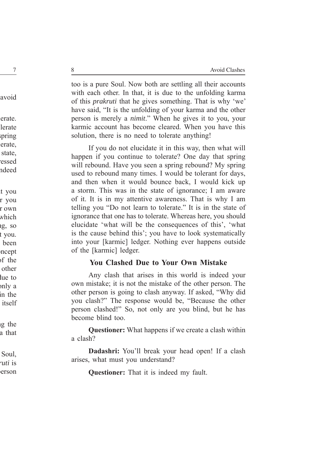too is a pure Soul. Now both are settling all their accounts with each other. In that, it is due to the unfolding karma of this *prakruti* that he gives something. That is why 'we' have said, "It is the unfolding of your karma and the other person is merely a *nimit*." When he gives it to you, your karmic account has become cleared. When you have this solution, there is no need to tolerate anything!

If you do not elucidate it in this way, then what will happen if you continue to tolerate? One day that spring will rebound. Have you seen a spring rebound? My spring used to rebound many times. I would be tolerant for days, and then when it would bounce back, I would kick up a storm. This was in the state of ignorance; I am aware of it. It is in my attentive awareness. That is why I am telling you "Do not learn to tolerate." It is in the state of ignorance that one has to tolerate. Whereas here, you should elucidate 'what will be the consequences of this', 'what is the cause behind this'; you have to look systematically into your [karmic] ledger. Nothing ever happens outside of the [karmic] ledger.

#### **You Clashed Due to Your Own Mistake**

Any clash that arises in this world is indeed your own mistake; it is not the mistake of the other person. The other person is going to clash anyway. If asked, "Why did you clash?" The response would be, "Because the other person clashed!" So, not only are you blind, but he has become blind too.

**Questioner:** What happens if we create a clash within a clash?

**Dadashri:** You'll break your head open! If a clash arises, what must you understand?

**Questioner:** That it is indeed my fault.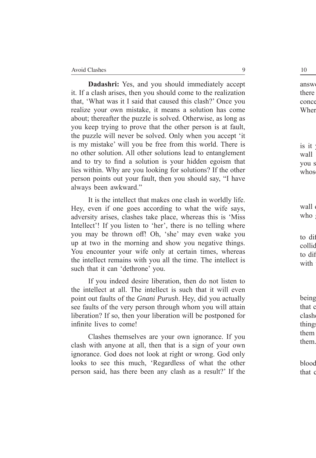**Dadashri:** Yes, and you should immediately accept it. If a clash arises, then you should come to the realization that, 'What was it I said that caused this clash?' Once you realize your own mistake, it means a solution has come about; thereafter the puzzle is solved. Otherwise, as long as you keep trying to prove that the other person is at fault, the puzzle will never be solved. Only when you accept 'it is my mistake' will you be free from this world. There is no other solution. All other solutions lead to entanglement and to try to find a solution is your hidden egoism that lies within. Why are you looking for solutions? If the other person points out your fault, then you should say, "I have always been awkward."

It is the intellect that makes one clash in worldly life. Hey, even if one goes according to what the wife says, adversity arises, clashes take place, whereas this is 'Miss Intellect'! If you listen to 'her', there is no telling where you may be thrown off! Oh, 'she' may even wake you up at two in the morning and show you negative things. You encounter your wife only at certain times, whereas the intellect remains with you all the time. The intellect is such that it can 'dethrone' you.

If you indeed desire liberation, then do not listen to the intellect at all. The intellect is such that it will even point out faults of the *Gnani Purush*. Hey, did you actually see faults of the very person through whom you will attain liberation? If so, then your liberation will be postponed for infinite lives to come!

Clashes themselves are your own ignorance. If you clash with anyone at all, then that is a sign of your own ignorance. God does not look at right or wrong. God only looks to see this much, 'Regardless of what the other person said, has there been any clash as a result?' If the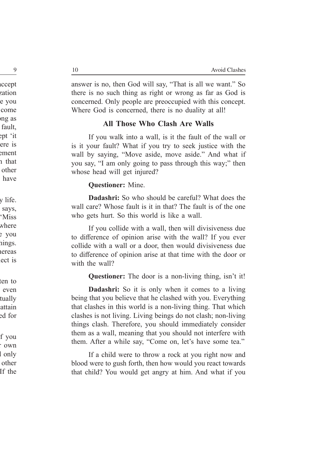answer is no, then God will say, "That is all we want." So there is no such thing as right or wrong as far as God is concerned. Only people are preoccupied with this concept. Where God is concerned, there is no duality at all!

#### **All Those Who Clash Are Walls**

If you walk into a wall, is it the fault of the wall or is it your fault? What if you try to seek justice with the wall by saying, "Move aside, move aside." And what if you say, "I am only going to pass through this way;" then whose head will get injured?

#### **Questioner:** Mine.

**Dadashri:** So who should be careful? What does the wall care? Whose fault is it in that? The fault is of the one who gets hurt. So this world is like a wall.

If you collide with a wall, then will divisiveness due to difference of opinion arise with the wall? If you ever collide with a wall or a door, then would divisiveness due to difference of opinion arise at that time with the door or with the wall?

**Questioner:** The door is a non-living thing, isn't it!

**Dadashri:** So it is only when it comes to a living being that you believe that he clashed with you. Everything that clashes in this world is a non-living thing. That which clashes is not living. Living beings do not clash; non-living things clash. Therefore, you should immediately consider them as a wall, meaning that you should not interfere with them. After a while say, "Come on, let's have some tea."

If a child were to throw a rock at you right now and blood were to gush forth, then how would you react towards that child? You would get angry at him. And what if you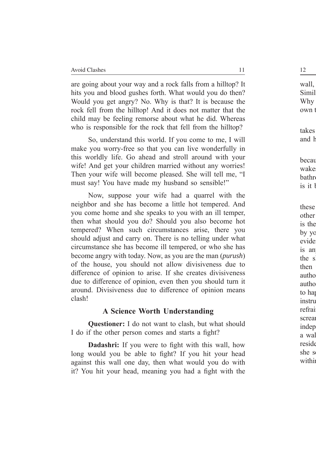are going about your way and a rock falls from a hilltop? It hits you and blood gushes forth. What would you do then? Would you get angry? No. Why is that? It is because the rock fell from the hilltop! And it does not matter that the child may be feeling remorse about what he did. Whereas who is responsible for the rock that fell from the hilltop?

So, understand this world. If you come to me, I will make you worry-free so that you can live wonderfully in this worldly life. Go ahead and stroll around with your wife! And get your children married without any worries! Then your wife will become pleased. She will tell me, "I must say! You have made my husband so sensible!"

Now, suppose your wife had a quarrel with the neighbor and she has become a little hot tempered. And you come home and she speaks to you with an ill temper, then what should you do? Should you also become hot tempered? When such circumstances arise, there you should adjust and carry on. There is no telling under what circumstance she has become ill tempered, or who she has become angry with today. Now, as you are the man (*purush*) of the house, you should not allow divisiveness due to difference of opinion to arise. If she creates divisiveness due to difference of opinion, even then you should turn it around. Divisiveness due to difference of opinion means clash!

#### **A Science Worth Understanding**

**Questioner:** I do not want to clash, but what should I do if the other person comes and starts a fight?

**Dadashri:** If you were to fight with this wall, how long would you be able to fight? If you hit your head against this wall one day, then what would you do with it? You hit your head, meaning you had a fight with the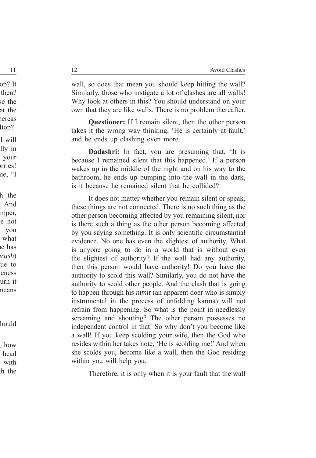wall, so does that mean you should keep hitting the wall? Similarly, those who instigate a lot of clashes are all walls! Why look at others in this? You should understand on your own that they are like walls. There is no problem thereafter.

**Questioner:** If I remain silent, then the other person takes it the wrong way thinking, 'He is certainly at fault,' and he ends up clashing even more.

**Dadashri:** In fact, you are presuming that, 'It is because I remained silent that this happened.' If a person wakes up in the middle of the night and on his way to the bathroom, he ends up bumping into the wall in the dark, is it because he remained silent that he collided?

It does not matter whether you remain silent or speak, these things are not connected. There is no such thing as the other person becoming affected by you remaining silent, nor is there such a thing as the other person becoming affected by you saying something. It is only scientific circumstantial evidence. No one has even the slightest of authority. What is anyone going to do in a world that is without even the slightest of authority? If the wall had any authority, then this person would have authority! Do you have the authority to scold this wall? Similarly, you do not have the authority to scold other people. And the clash that is going to happen through his *nimit* (an apparent doer who is simply instrumental in the process of unfolding karma) will not refrain from happening. So what is the point in needlessly screaming and shouting? The other person possesses no independent control in that! So why don't you become like a wall! If you keep scolding your wife, then the God who resides within her takes note, 'He is scolding me!' And when she scolds you, become like a wall, then the God residing within you will help you.

Therefore, it is only when it is your fault that the wall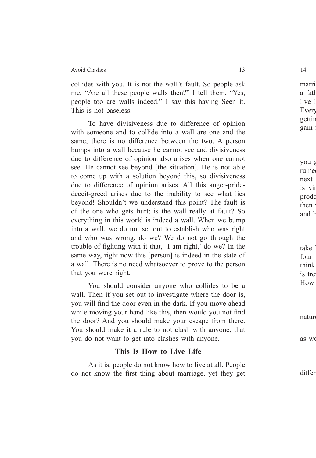collides with you. It is not the wall's fault. So people ask me, "Are all these people walls then?" I tell them, "Yes, people too are walls indeed." I say this having Seen it. This is not baseless.

To have divisiveness due to difference of opinion with someone and to collide into a wall are one and the same, there is no difference between the two. A person bumps into a wall because he cannot see and divisiveness due to difference of opinion also arises when one cannot see. He cannot see beyond [the situation]. He is not able to come up with a solution beyond this, so divisiveness due to difference of opinion arises. All this anger-pridedeceit-greed arises due to the inability to see what lies beyond! Shouldn't we understand this point? The fault is of the one who gets hurt; is the wall really at fault? So everything in this world is indeed a wall. When we bump into a wall, we do not set out to establish who was right and who was wrong, do we? We do not go through the trouble of fighting with it that, 'I am right,' do we? In the same way, right now this [person] is indeed in the state of a wall. There is no need whatsoever to prove to the person that you were right.

You should consider anyone who collides to be a wall. Then if you set out to investigate where the door is, you will find the door even in the dark. If you move ahead while moving your hand like this, then would you not find the door? And you should make your escape from there. You should make it a rule to not clash with anyone, that you do not want to get into clashes with anyone.

#### **This Is How to Live Life**

As it is, people do not know how to live at all. People do not know the first thing about marriage, yet they get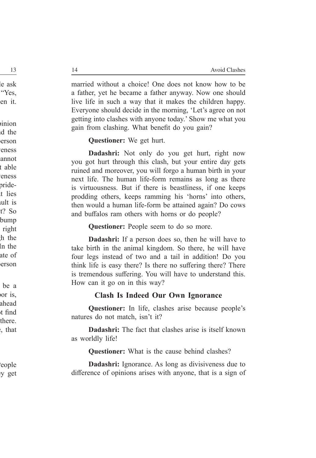married without a choice! One does not know how to be a father, yet he became a father anyway. Now one should live life in such a way that it makes the children happy. Everyone should decide in the morning, 'Let's agree on not getting into clashes with anyone today.' Show me what you gain from clashing. What benefit do you gain?

**Questioner:** We get hurt.

**Dadashri:** Not only do you get hurt, right now you got hurt through this clash, but your entire day gets ruined and moreover, you will forgo a human birth in your next life. The human life-form remains as long as there is virtuousness. But if there is beastliness, if one keeps prodding others, keeps ramming his 'horns' into others, then would a human life-form be attained again? Do cows and buffalos ram others with horns or do people?

**Questioner:** People seem to do so more.

**Dadashri:** If a person does so, then he will have to take birth in the animal kingdom. So there, he will have four legs instead of two and a tail in addition! Do you think life is easy there? Is there no suffering there? There is tremendous suffering. You will have to understand this. How can it go on in this way?

#### **Clash Is Indeed Our Own Ignorance**

**Questioner:** In life, clashes arise because people's natures do not match, isn't it?

**Dadashri:** The fact that clashes arise is itself known as worldly life!

**Questioner:** What is the cause behind clashes?

**Dadashri:** Ignorance. As long as divisiveness due to difference of opinions arises with anyone, that is a sign of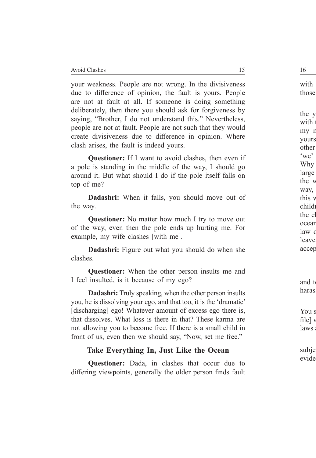your weakness. People are not wrong. In the divisiveness due to difference of opinion, the fault is yours. People are not at fault at all. If someone is doing something deliberately, then there you should ask for forgiveness by saying, "Brother, I do not understand this." Nevertheless, people are not at fault. People are not such that they would create divisiveness due to difference in opinion. Where clash arises, the fault is indeed yours.

**Questioner:** If I want to avoid clashes, then even if a pole is standing in the middle of the way, I should go around it. But what should I do if the pole itself falls on top of me?

**Dadashri:** When it falls, you should move out of the way.

**Questioner:** No matter how much I try to move out of the way, even then the pole ends up hurting me. For example, my wife clashes [with me].

**Dadashri:** Figure out what you should do when she clashes.

**Questioner:** When the other person insults me and I feel insulted, is it because of my ego?

**Dadashri:** Truly speaking, when the other person insults you, he is dissolving your ego, and that too, it is the 'dramatic' [discharging] ego! Whatever amount of excess ego there is, that dissolves. What loss is there in that? These karma are not allowing you to become free. If there is a small child in front of us, even then we should say, "Now, set me free."

#### **Take Everything In, Just Like the Ocean**

**Questioner:** Dada, in clashes that occur due to differing viewpoints, generally the older person finds fault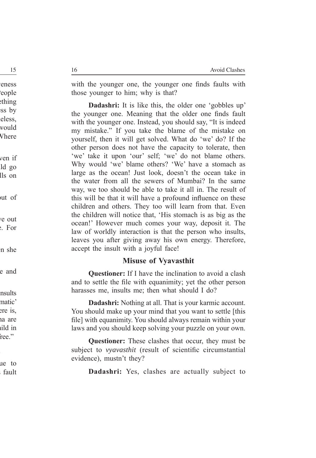with the younger one, the younger one finds faults with those younger to him; why is that?

**Dadashri:** It is like this, the older one 'gobbles up' the younger one. Meaning that the older one finds fault with the younger one. Instead, you should say, "It is indeed my mistake." If you take the blame of the mistake on yourself, then it will get solved. What do 'we' do? If the other person does not have the capacity to tolerate, then 'we' take it upon 'our' self; 'we' do not blame others. Why would 'we' blame others? 'We' have a stomach as large as the ocean! Just look, doesn't the ocean take in the water from all the sewers of Mumbai? In the same way, we too should be able to take it all in. The result of this will be that it will have a profound influence on these children and others. They too will learn from that. Even the children will notice that, 'His stomach is as big as the ocean!' However much comes your way, deposit it. The law of worldly interaction is that the person who insults, leaves you after giving away his own energy. Therefore, accept the insult with a joyful face!

#### **Misuse of Vyavasthit**

**Questioner:** If I have the inclination to avoid a clash and to settle the file with equanimity; yet the other person harasses me, insults me; then what should I do?

**Dadashri:** Nothing at all. That is your karmic account. You should make up your mind that you want to settle [this file] with equanimity. You should always remain within your laws and you should keep solving your puzzle on your own.

**Questioner:** These clashes that occur, they must be subject to *vyavasthit* (result of scientific circumstantial evidence), mustn't they?

**Dadashri:** Yes, clashes are actually subject to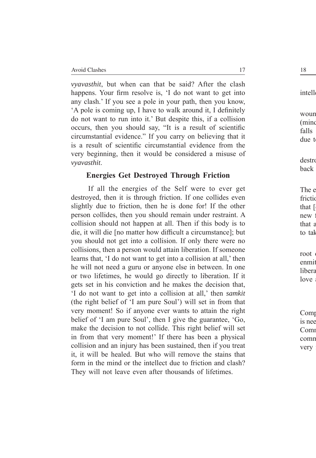*vyavasthit*, but when can that be said? After the clash happens. Your firm resolve is, 'I do not want to get into any clash.' If you see a pole in your path, then you know, 'A pole is coming up, I have to walk around it, I definitely do not want to run into it.' But despite this, if a collision occurs, then you should say, "It is a result of scientific circumstantial evidence." If you carry on believing that it is a result of scientific circumstantial evidence from the very beginning, then it would be considered a misuse of *vyavasthit*.

#### **Energies Get Destroyed Through Friction**

If all the energies of the Self were to ever get destroyed, then it is through friction. If one collides even slightly due to friction, then he is done for! If the other person collides, then you should remain under restraint. A collision should not happen at all. Then if this body is to die, it will die [no matter how difficult a circumstance]; but you should not get into a collision. If only there were no collisions, then a person would attain liberation. If someone learns that, 'I do not want to get into a collision at all,' then he will not need a guru or anyone else in between. In one or two lifetimes, he would go directly to liberation. If it gets set in his conviction and he makes the decision that, 'I do not want to get into a collision at all,' then *samkit* (the right belief of 'I am pure Soul') will set in from that very moment! So if anyone ever wants to attain the right belief of 'I am pure Soul', then I give the guarantee, 'Go, make the decision to not collide. This right belief will set in from that very moment!' If there has been a physical collision and an injury has been sustained, then if you treat it, it will be healed. But who will remove the stains that form in the mind or the intellect due to friction and clash? They will not leave even after thousands of lifetimes.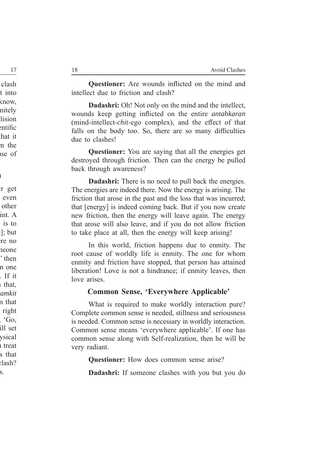**Questioner:** Are wounds inflicted on the mind and intellect due to friction and clash?

**Dadashri:** Oh! Not only on the mind and the intellect, wounds keep getting inflicted on the entire *antahkaran* (mind-intellect-*chit*-ego complex), and the effect of that falls on the body too. So, there are so many difficulties due to clashes!

**Questioner:** You are saying that all the energies get destroyed through friction. Then can the energy be pulled back through awareness?

**Dadashri:** There is no need to pull back the energies. The energies are indeed there. Now the energy is arising. The friction that arose in the past and the loss that was incurred; that [energy] is indeed coming back. But if you now create new friction, then the energy will leave again. The energy that arose will also leave, and if you do not allow friction to take place at all, then the energy will keep arising!

In this world, friction happens due to enmity. The root cause of worldly life is enmity. The one for whom enmity and friction have stopped, that person has attained liberation! Love is not a hindrance; if enmity leaves, then love arises.

#### **Common Sense, 'Everywhere Applicable'**

What is required to make worldly interaction pure? Complete common sense is needed, stillness and seriousness is needed. Common sense is necessary in worldly interaction. Common sense means 'everywhere applicable'. If one has common sense along with Self-realization, then he will be very radiant.

**Questioner:** How does common sense arise?

**Dadashri:** If someone clashes with you but you do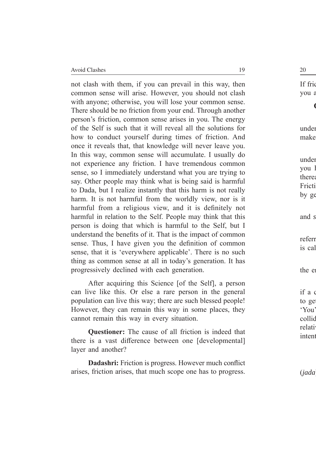not clash with them, if you can prevail in this way, then common sense will arise. However, you should not clash with anyone; otherwise, you will lose your common sense. There should be no friction from your end. Through another person's friction, common sense arises in you. The energy of the Self is such that it will reveal all the solutions for how to conduct yourself during times of friction. And once it reveals that, that knowledge will never leave you. In this way, common sense will accumulate. I usually do not experience any friction. I have tremendous common sense, so I immediately understand what you are trying to say. Other people may think what is being said is harmful to Dada, but I realize instantly that this harm is not really harm. It is not harmful from the worldly view, nor is it harmful from a religious view, and it is definitely not harmful in relation to the Self. People may think that this person is doing that which is harmful to the Self, but I understand the benefits of it. That is the impact of common sense. Thus, I have given you the definition of common sense, that it is 'everywhere applicable'. There is no such thing as common sense at all in today's generation. It has progressively declined with each generation.

After acquiring this Science [of the Self], a person can live like this. Or else a rare person in the general population can live this way; there are such blessed people! However, they can remain this way in some places, they cannot remain this way in every situation.

**Questioner:** The cause of all friction is indeed that there is a vast difference between one [developmental] layer and another?

**Dadashri:** Friction is progress. However much conflict arises, friction arises, that much scope one has to progress.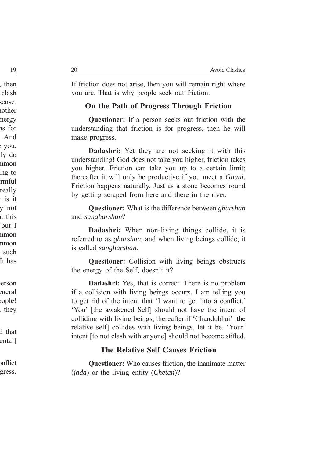If friction does not arise, then you will remain right where you are. That is why people seek out friction.

#### **On the Path of Progress Through Friction**

**Questioner:** If a person seeks out friction with the understanding that friction is for progress, then he will make progress.

**Dadashri:** Yet they are not seeking it with this understanding! God does not take you higher, friction takes you higher. Friction can take you up to a certain limit; thereafter it will only be productive if you meet a *Gnani*. Friction happens naturally. Just as a stone becomes round by getting scraped from here and there in the river.

**Questioner:** What is the difference between *gharshan* and *sangharshan*?

**Dadashri:** When non-living things collide, it is referred to as *gharshan*, and when living beings collide, it is called *sangharshan.* 

**Questioner:** Collision with living beings obstructs the energy of the Self, doesn't it?

**Dadashri:** Yes, that is correct. There is no problem if a collision with living beings occurs, I am telling you to get rid of the intent that 'I want to get into a conflict.' 'You' [the awakened Self] should not have the intent of colliding with living beings, thereafter if 'Chandubhai' [the relative self] collides with living beings, let it be. 'Your' intent [to not clash with anyone] should not become stifled.

#### **The Relative Self Causes Friction**

**Questioner:** Who causes friction, the inanimate matter (*jada*) or the living entity (*Chetan*)?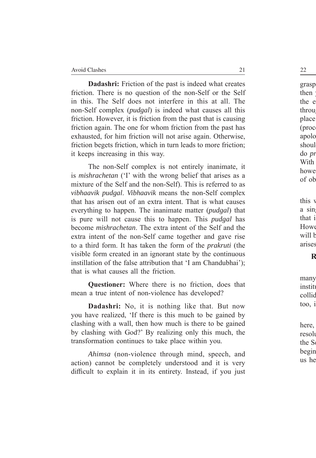**Dadashri:** Friction of the past is indeed what creates friction. There is no question of the non-Self or the Self in this. The Self does not interfere in this at all. The non-Self complex (*pudgal*) is indeed what causes all this friction. However, it is friction from the past that is causing friction again. The one for whom friction from the past has exhausted, for him friction will not arise again. Otherwise, friction begets friction, which in turn leads to more friction; it keeps increasing in this way.

The non-Self complex is not entirely inanimate, it is *mishrachetan* ('I' with the wrong belief that arises as a mixture of the Self and the non-Self). This is referred to as *vibhaavik pudgal*. *Vibhaavik* means the non-Self complex that has arisen out of an extra intent. That is what causes everything to happen. The inanimate matter (*pudgal*) that is pure will not cause this to happen. This *pudgal* has become *mishrachetan*. The extra intent of the Self and the extra intent of the non-Self came together and gave rise to a third form. It has taken the form of the *prakruti* (the visible form created in an ignorant state by the continuous instillation of the false attribution that 'I am Chandubhai'); that is what causes all the friction.

**Questioner:** Where there is no friction, does that mean a true intent of non-violence has developed?

**Dadashri:** No, it is nothing like that. But now you have realized, 'If there is this much to be gained by clashing with a wall, then how much is there to be gained by clashing with God?' By realizing only this much, the transformation continues to take place within you.

*Ahimsa* (non-violence through mind, speech, and action) cannot be completely understood and it is very difficult to explain it in its entirety. Instead, if you just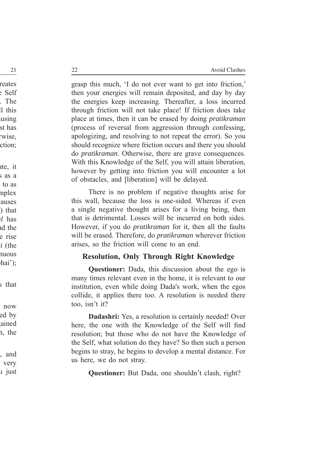grasp this much, 'I do not ever want to get into friction,' then your energies will remain deposited, and day by day the energies keep increasing. Thereafter, a loss incurred through friction will not take place! If friction does take place at times, then it can be erased by doing *pratikraman* (process of reversal from aggression through confessing, apologizing, and resolving to not repeat the error). So you should recognize where friction occurs and there you should do *pratikraman*. Otherwise, there are grave consequences. With this Knowledge of the Self, you will attain liberation, however by getting into friction you will encounter a lot of obstacles, and [liberation] will be delayed.

There is no problem if negative thoughts arise for this wall, because the loss is one-sided. Whereas if even a single negative thought arises for a living being, then that is detrimental. Losses will be incurred on both sides. However, if you do *pratikraman* for it, then all the faults will be erased. Therefore, do *pratikraman* wherever friction arises, so the friction will come to an end.

### **Resolution, Only Through Right Knowledge**

**Questioner:** Dada, this discussion about the ego is many times relevant even in the home, it is relevant to our institution, even while doing Dada's work, when the egos collide, it applies there too. A resolution is needed there too, isn't it?

**Dadashri:** Yes, a resolution is certainly needed! Over here, the one with the Knowledge of the Self will find resolution; but those who do not have the Knowledge of the Self, what solution do they have? So then such a person begins to stray, he begins to develop a mental distance. For us here, we do not stray.

**Questioner:** But Dada, one shouldn't clash, right?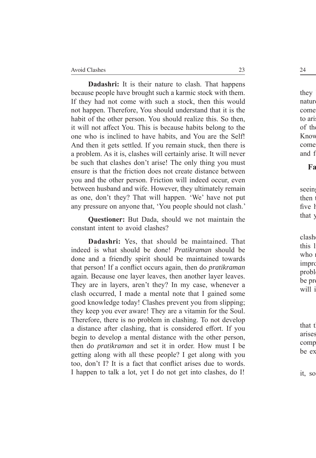**Dadashri:** It is their nature to clash. That happens because people have brought such a karmic stock with them. If they had not come with such a stock, then this would not happen. Therefore, You should understand that it is the habit of the other person. You should realize this. So then, it will not affect You. This is because habits belong to the one who is inclined to have habits, and You are the Self! And then it gets settled. If you remain stuck, then there is a problem. As it is, clashes will certainly arise. It will never be such that clashes don't arise! The only thing you must ensure is that the friction does not create distance between you and the other person. Friction will indeed occur, even between husband and wife. However, they ultimately remain as one, don't they? That will happen. 'We' have not put any pressure on anyone that, 'You people should not clash.'

**Questioner:** But Dada, should we not maintain the constant intent to avoid clashes?

**Dadashri:** Yes, that should be maintained. That indeed is what should be done! *Pratikraman* should be done and a friendly spirit should be maintained towards that person! If a conflict occurs again, then do *pratikraman* again. Because one layer leaves, then another layer leaves. They are in layers, aren't they? In my case, whenever a clash occurred, I made a mental note that I gained some good knowledge today! Clashes prevent you from slipping; they keep you ever aware! They are a vitamin for the Soul. Therefore, there is no problem in clashing. To not develop a distance after clashing, that is considered effort. If you begin to develop a mental distance with the other person, then do *pratikraman* and set it in order. How must I be getting along with all these people? I get along with you too, don't I? It is a fact that conflict arises due to words. I happen to talk a lot, yet I do not get into clashes, do I!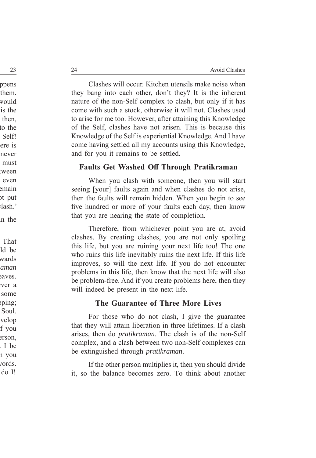Clashes will occur. Kitchen utensils make noise when they bang into each other, don't they? It is the inherent nature of the non-Self complex to clash, but only if it has come with such a stock, otherwise it will not. Clashes used to arise for me too. However, after attaining this Knowledge of the Self, clashes have not arisen. This is because this Knowledge of the Self is experiential Knowledge. And I have come having settled all my accounts using this Knowledge, and for you it remains to be settled.

#### **Faults Get Washed Off Through Pratikraman**

When you clash with someone, then you will start seeing [your] faults again and when clashes do not arise, then the faults will remain hidden. When you begin to see five hundred or more of your faults each day, then know that you are nearing the state of completion.

Therefore, from whichever point you are at, avoid clashes. By creating clashes, you are not only spoiling this life, but you are ruining your next life too! The one who ruins this life inevitably ruins the next life. If this life improves, so will the next life. If you do not encounter problems in this life, then know that the next life will also be problem-free. And if you create problems here, then they will indeed be present in the next life.

#### **The Guarantee of Three More Lives**

For those who do not clash, I give the guarantee that they will attain liberation in three lifetimes. If a clash arises, then do *pratikraman*. The clash is of the non-Self complex, and a clash between two non-Self complexes can be extinguished through *pratikraman*.

If the other person multiplies it, then you should divide it, so the balance becomes zero. To think about another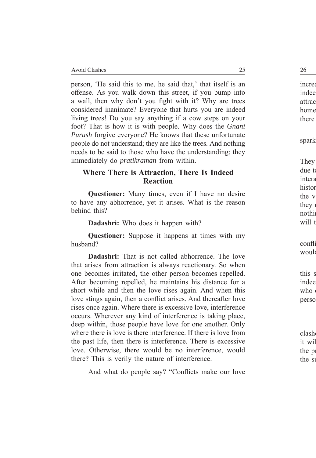person, 'He said this to me, he said that,' that itself is an offense. As you walk down this street, if you bump into a wall, then why don't you fight with it? Why are trees considered inanimate? Everyone that hurts you are indeed living trees! Do you say anything if a cow steps on your foot? That is how it is with people. Why does the *Gnani Purush* forgive everyone? He knows that these unfortunate people do not understand; they are like the trees. And nothing needs to be said to those who have the understanding; they immediately do *pratikraman* from within.

#### **Where There is Attraction, There Is Indeed Reaction**

**Questioner:** Many times, even if I have no desire to have any abhorrence, yet it arises. What is the reason behind this?

**Dadashri:** Who does it happen with?

**Questioner:** Suppose it happens at times with my husband?

**Dadashri:** That is not called abhorrence. The love that arises from attraction is always reactionary. So when one becomes irritated, the other person becomes repelled. After becoming repelled, he maintains his distance for a short while and then the love rises again. And when this love stings again, then a conflict arises. And thereafter love rises once again. Where there is excessive love, interference occurs. Wherever any kind of interference is taking place, deep within, those people have love for one another. Only where there is love is there interference. If there is love from the past life, then there is interference. There is excessive love. Otherwise, there would be no interference, would there? This is verily the nature of interference.

And what do people say? "Conflicts make our love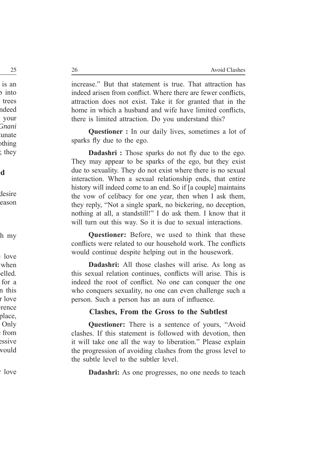increase." But that statement is true. That attraction has indeed arisen from conflict. Where there are fewer conflicts, attraction does not exist. Take it for granted that in the home in which a husband and wife have limited conflicts, there is limited attraction. Do you understand this?

**Questioner :** In our daily lives, sometimes a lot of sparks fly due to the ego.

**Dadashri** : Those sparks do not fly due to the ego. They may appear to be sparks of the ego, but they exist due to sexuality. They do not exist where there is no sexual interaction. When a sexual relationship ends, that entire history will indeed come to an end. So if [a couple] maintains the vow of celibacy for one year, then when I ask them, they reply, "Not a single spark, no bickering, no deception, nothing at all, a standstill!" I do ask them. I know that it will turn out this way. So it is due to sexual interactions.

**Questioner:** Before, we used to think that these conflicts were related to our household work. The conflicts would continue despite helping out in the housework.

**Dadashri:** All those clashes will arise. As long as this sexual relation continues, conflicts will arise. This is indeed the root of conflict. No one can conquer the one who conquers sexuality, no one can even challenge such a person. Such a person has an aura of influence.

#### **Clashes, From the Gross to the Subtlest**

**Questioner:** There is a sentence of yours, "Avoid" clashes. If this statement is followed with devotion, then it will take one all the way to liberation." Please explain the progression of avoiding clashes from the gross level to the subtle level to the subtler level.

**Dadashri:** As one progresses, no one needs to teach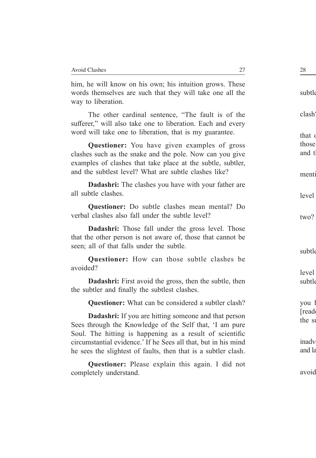him, he will know on his own; his intuition grows. These words themselves are such that they will take one all the way to liberation.

The other cardinal sentence, "The fault is of the sufferer," will also take one to liberation. Each and every word will take one to liberation, that is my guarantee.

**Questioner:** You have given examples of gross clashes such as the snake and the pole. Now can you give examples of clashes that take place at the subtle, subtler, and the subtlest level? What are subtle clashes like?

**Dadashri:** The clashes you have with your father are all subtle clashes.

**Questioner:** Do subtle clashes mean mental? Do verbal clashes also fall under the subtle level?

**Dadashri:** Those fall under the gross level. Those that the other person is not aware of, those that cannot be seen; all of that falls under the subtle.

**Questioner:** How can those subtle clashes be avoided?

**Dadashri:** First avoid the gross, then the subtle, then the subtler and finally the subtlest clashes.

**Questioner:** What can be considered a subtler clash?

**Dadashri:** If you are hitting someone and that person Sees through the Knowledge of the Self that, 'I am pure Soul. The hitting is happening as a result of scientific circumstantial evidence.' If he Sees all that, but in his mind he sees the slightest of faults, then that is a subtler clash.

**Questioner:** Please explain this again. I did not completely understand.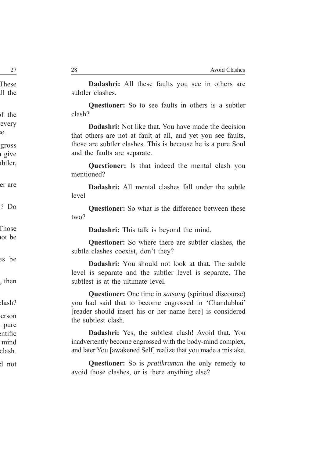**Dadashri:** All these faults you see in others are subtler clashes.

**Questioner:** So to see faults in others is a subtler clash?

**Dadashri:** Not like that. You have made the decision that others are not at fault at all, and yet you see faults, those are subtler clashes. This is because he is a pure Soul and the faults are separate.

**Questioner:** Is that indeed the mental clash you mentioned?

**Dadashri:** All mental clashes fall under the subtle level

**Questioner:** So what is the difference between these two?

**Dadashri:** This talk is beyond the mind.

**Questioner:** So where there are subtler clashes, the subtle clashes coexist, don't they?

**Dadashri:** You should not look at that. The subtle level is separate and the subtler level is separate. The subtlest is at the ultimate level.

**Questioner:** One time in *satsang* (spiritual discourse) you had said that to become engrossed in 'Chandubhai' [reader should insert his or her name here] is considered the subtlest clash.

**Dadashri:** Yes, the subtlest clash! Avoid that. You inadvertently become engrossed with the body-mind complex, and later You [awakened Self] realize that you made a mistake.

**Questioner:** So is *pratikraman* the only remedy to avoid those clashes, or is there anything else?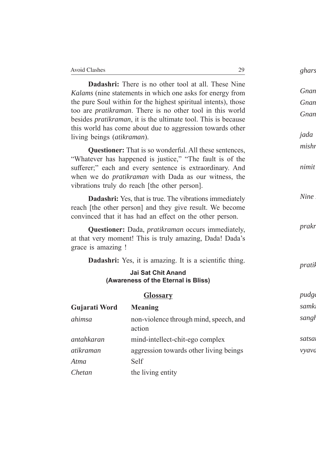**Dadashri:** There is no other tool at all. These Nine *Kalams* (nine statements in which one asks for energy from the pure Soul within for the highest spiritual intents), those too are *pratikraman*. There is no other tool in this world besides *pratikraman*, it is the ultimate tool. This is because this world has come about due to aggression towards other living beings (*atikraman*).

**Questioner:** That is so wonderful. All these sentences, "Whatever has happened is justice," "The fault is of the sufferer;" each and every sentence is extraordinary. And when we do *pratikraman* with Dada as our witness, the vibrations truly do reach [the other person].

**Dadashri:** Yes, that is true. The vibrations immediately reach [the other person] and they give result. We become convinced that it has had an effect on the other person.

**Questioner:** Dada, *pratikraman* occurs immediately, at that very moment! This is truly amazing, Dada! Dada's grace is amazing !

**Dadashri:** Yes, it is amazing. It is a scientific thing.

#### **Jai Sat Chit Anand (Awareness of the Eternal is Bliss)**

**Glossary**

| <b>GIOSSALV</b> |                                                  |  |
|-----------------|--------------------------------------------------|--|
| Gujarati Word   | <b>Meaning</b>                                   |  |
| ahimsa          | non-violence through mind, speech, and<br>action |  |
| antahkaran      | mind-intellect-chit-ego complex                  |  |
| atikraman       | aggression towards other living beings           |  |
| Atma            | Self                                             |  |
| Chetan          | the living entity                                |  |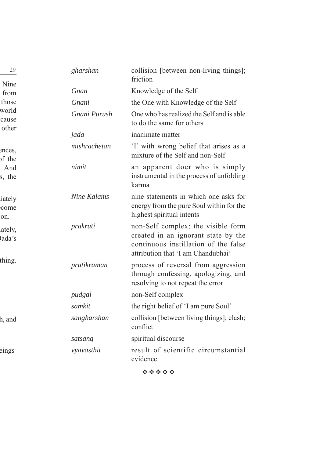| gharshan           | collision [between non-living things];<br>friction                                                                                                      |
|--------------------|---------------------------------------------------------------------------------------------------------------------------------------------------------|
| Gnan               | Knowledge of the Self                                                                                                                                   |
| Gnani              | the One with Knowledge of the Self                                                                                                                      |
| Gnani Purush       | One who has realized the Self and is able<br>to do the same for others                                                                                  |
| jada               | inanimate matter                                                                                                                                        |
| mishrachetan       | 'I' with wrong belief that arises as a<br>mixture of the Self and non-Self                                                                              |
| nimit              | an apparent doer who is simply<br>instrumental in the process of unfolding<br>karma                                                                     |
| <b>Nine Kalams</b> | nine statements in which one asks for<br>energy from the pure Soul within for the<br>highest spiritual intents                                          |
| prakruti           | non-Self complex; the visible form<br>created in an ignorant state by the<br>continuous instillation of the false<br>attribution that 'I am Chandubhai' |
| pratikraman        | process of reversal from aggression<br>through confessing, apologizing, and<br>resolving to not repeat the error                                        |
| pudgal             | non-Self complex                                                                                                                                        |
| samkit             | the right belief of 'I am pure Soul'                                                                                                                    |
| sangharshan        | collision [between living things]; clash;<br>conflict                                                                                                   |
| satsang            | spiritual discourse                                                                                                                                     |
| vyavasthit         | result of scientific circumstantial<br>evidence                                                                                                         |

\*\*\*\*\*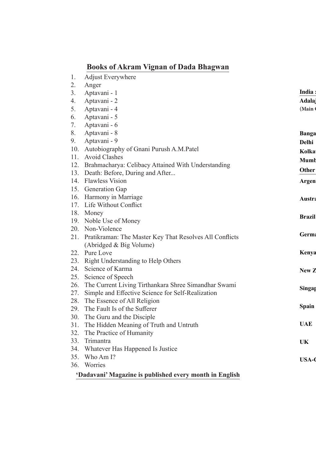## **Books of Akram Vignan of Dada Bhagwan**

- 1. Adjust Everywhere
- 2. Anger
- 3. Aptavani 1
- 4. Aptavani 2
- 5. Aptavani 4
- 6. Aptavani 5
- 7. Aptavani 6
- 8. Aptavani 8
- 9. Aptavani 9
- 10. Autobiography of Gnani Purush A.M.Patel
- 11. Avoid Clashes
- 12. Brahmacharya: Celibacy Attained With Understanding
- 13. Death: Before, During and After...
- 14. Flawless Vision
- 15. Generation Gap
- 16. Harmony in Marriage
- 17. Life Without Conflict
- 18. Money
- 19. Noble Use of Money
- 20. Non-Violence
- 21. Pratikraman: The Master Key That Resolves All Conflicts (Abridged & Big Volume)
- 22. Pure Love
- 23. Right Understanding to Help Others
- 24. Science of Karma
- 25. Science of Speech
- 26. The Current Living Tirthankara Shree Simandhar Swami
- 27. Simple and Effective Science for Self-Realization
- 28. The Essence of All Religion
- 29. The Fault Is of the Sufferer
- 30. The Guru and the Disciple
- 31. The Hidden Meaning of Truth and Untruth
- 32. The Practice of Humanity
- 33. Trimantra
- 34. Whatever Has Happened Is Justice
- 35. Who Am I?
- 36. Worries

#### **'Dadavani' Magazine is published every month in English**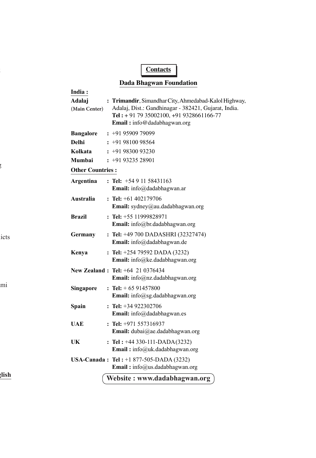## **Contacts**

#### **Dada Bhagwan Foundation**

| India:                  |                                                                                                                                                                                                 |
|-------------------------|-------------------------------------------------------------------------------------------------------------------------------------------------------------------------------------------------|
| Adalaj<br>(Main Center) | : Trimandir, Simandhar City, Ahmedabad-Kalol Highway,<br>Adalaj, Dist.: Gandhinagar - 382421, Gujarat, India.<br>Tel: + 91 79 35002100, +91 9328661166-77<br><b>Email:</b> info@dadabhagwan.org |
| <b>Bangalore</b>        | $: +919590979099$                                                                                                                                                                               |
| <b>Delhi</b>            | $: +919810098564$                                                                                                                                                                               |
| Kolkata                 | $: +919830093230$                                                                                                                                                                               |
| Mumbai                  | $: +919323528901$                                                                                                                                                                               |
| <b>Other Countries:</b> |                                                                                                                                                                                                 |
| Argentina               | : Tel: $+5491158431163$<br>Email: info@dadabhagwan.ar                                                                                                                                           |
| Australia               | : Tel: $+61402179706$<br>Email: sydney@au.dadabhagwan.org                                                                                                                                       |
| <b>Brazil</b>           | : Tel: $+55$ 11999828971<br>Email: info@br.dadabhagwan.org                                                                                                                                      |
| Germany                 | : Tel: $+49700$ DADASHRI (32327474)<br>Email: info@dadabhagwan.de                                                                                                                               |
| Kenya                   | : Tel: $+254$ 79592 DADA (3232)<br>Email: info@ke.dadabhagwan.org                                                                                                                               |
|                         | New Zealand: Tel: +64 21 0376434<br>Email: info@nz.dadabhagwan.org                                                                                                                              |
| Singapore               | : Tel: $+ 6591457800$<br>Email: info@sg.dadabhagwan.org                                                                                                                                         |
| Spain                   | : Tel: $+34922302706$<br>Email: info@dadabhagwan.es                                                                                                                                             |
| UAE                     | $:$ Tel: $+971$ 557316937<br>Email: dubai@ae.dadabhagwan.org                                                                                                                                    |
| UK                      | : Tel: $+44$ 330-111-DADA(3232)<br>Email: info@uk.dadabhagwan.org                                                                                                                               |
|                         | <b>USA-Canada: Tel:</b> +1 877-505-DADA (3232)<br>Email: info@us.dadabhagwan.org                                                                                                                |
|                         | Website: www.dadabhagwan.org                                                                                                                                                                    |